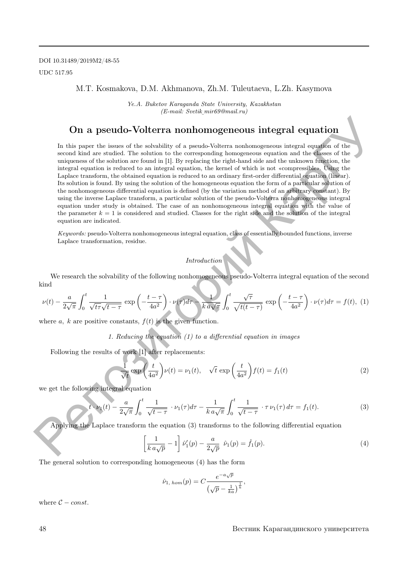### M.T. Kosmakova, D.M. Akhmanova, Zh.M. Tuleutaeva, L.Zh. Kasymova

Ye.A. Buketov Karaganda State University, Kazakhstan (E-mail: Svetik mir69@mail.ru) ¯

## On a pseudo-Volterra nonhomogeneous integral equation

In this paper the issues of the solvability of a pseudo-Volterra nonhomogeneous integral equation of the second kind are studied. The solution to the corresponding homogeneous equation and the classes of the uniqueness of the solution are found in [1]. By replacing the right-hand side and the unknown function, the integral equation is reduced to an integral equation, the kernel of which is not «compressible». Using the Laplace transform, the obtained equation is reduced to an ordinary first-order differential equation (linear). Its solution is found. By using the solution of the homogeneous equation the form of a particular solution of the nonhomogeneous differential equation is defined (by the variation method of an arbitrary constant). By using the inverse Laplace transform, a particular solution of the pseudo-Volterra nonhomogeneous integral equation under study is obtained. The case of an nonhomogeneous integral equation with the value of the parameter  $k = 1$  is considered and studied. Classes for the right side and the solution of the integral equation are indicated. **On a pseudo-Volterra nonhomogeneous integral equation**<br>
In this paper the issue of the solvability of a pseudo Volterra analomageneous integral equation of the<br>
system define a statich. The scheintra is the corresponding

Keywords: pseudo-Volterra nonhomogeneous integral equation, class of essentially bounded functions, inverse Laplace transformation, residue.

#### Introduction

We research the solvability of the following nonhomogeneous pseudo-Volterra integral equation of the second kind

$$
\nu(t) - \frac{a}{2\sqrt{\pi}} \int_0^t \frac{1}{\sqrt{t\tau}\sqrt{t-\tau}} \exp\left(-\frac{t-\tau}{4a^2}\right) \cdot \nu(\tau) d\tau \longrightarrow \frac{1}{k a \sqrt{\pi}} \int_0^t \frac{\sqrt{\tau}}{\sqrt{t(t-\tau)}} \exp\left(-\frac{t-\tau}{4a^2}\right) \cdot \nu(\tau) d\tau = f(t), (1)
$$

where a, k are positive constants,  $f(t)$  is the given function.

1. Reducing the equation  $(1)$  to a differential equation in images

Following the results of work [1] after replacements:

$$
\frac{1}{\sqrt{t}} \exp\left(\frac{t}{4a^2}\right) \nu(t) = \nu_1(t), \quad \sqrt{t} \exp\left(\frac{t}{4a^2}\right) f(t) = f_1(t)
$$
\n(2)

we get the following integral equation

$$
t \cdot \nu_1(t) - \frac{a}{2\sqrt{\pi}} \int_0^t \frac{1}{\sqrt{t - \tau}} \cdot \nu_1(\tau) d\tau - \frac{1}{k a \sqrt{\pi}} \int_0^t \frac{1}{\sqrt{t - \tau}} \cdot \tau \nu_1(\tau) d\tau = f_1(t).
$$
 (3)

Applying the Laplace transform the equation (3) transforms to the following differential equation

$$
\left[\frac{1}{k\,a\sqrt{p}} - 1\right]\hat{\nu}'_1(p) - \frac{a}{2\sqrt{p}}\,\hat{\nu}_1(p) = \hat{f}_1(p). \tag{4}
$$

The general solution to corresponding homogeneous (4) has the form

$$
\hat{\nu}_{1, \; \text{hom}}(p) = C \frac{e^{-a\sqrt{p}}}{\left(\sqrt{p} - \frac{1}{ka}\right)^{\frac{1}{k}}},
$$

where  $C - const.$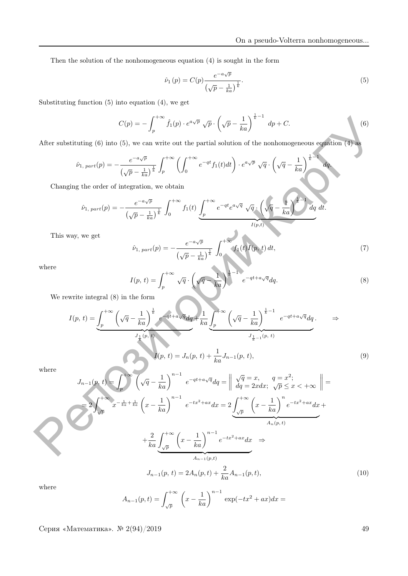Then the solution of the nonhomogeneous equation (4) is sought in the form

$$
\hat{\nu}_1(p) = C(p) \frac{e^{-a\sqrt{p}}}{\left(\sqrt{p} - \frac{1}{ka}\right)^{\frac{1}{k}}}.
$$
\n
$$
(5)
$$

Substituting function (5) into equation (4), we get

$$
C(p) = -\int_{p}^{+\infty} \hat{f}_1(p) \cdot e^{a\sqrt{p}} \sqrt{p} \cdot \left(\sqrt{p} - \frac{1}{ka}\right)^{\frac{1}{k}-1} dp + C.
$$
 (6)

After substituting (6) into (5), we can write out the partial solution of the nonhomogeneous equation (4) as

$$
\hat{\nu}_{1, part}(p) = -\frac{e^{-a\sqrt{p}}}{\left(\sqrt{p} - \frac{1}{ka}\right)^{\frac{1}{k}}} \int_{p}^{+\infty} \left(\int_{0}^{+\infty} e^{-qt} f_{1}(t) dt\right) \cdot e^{a\sqrt{p}} \sqrt{q} \cdot \left(\sqrt{q} - \frac{1}{ka}\right)^{\frac{1}{k}-1} dq.
$$

Changing the order of integration, we obtain

$$
\hat{\nu}_{1, part}(p) = -\frac{e^{-a\sqrt{p}}}{\left(\sqrt{p} - \frac{1}{ka}\right)^{\frac{1}{k}}}\int_0^{+\infty} f_1(t) \underbrace{\int_p^{+\infty} e^{-qt} e^{a\sqrt{q}} \sqrt{q} \cdot \left(\sqrt{q} - \frac{1}{ka}\right)^{\frac{1}{k}-1} dq}_{I(p,t)} dt.
$$

This way, we get

$$
\hat{\nu}_{1, part}(p) = -\frac{e^{-a\sqrt{p}}}{\left(\sqrt{p} - \frac{1}{ka}\right)^{\frac{1}{k}}} \int_0^{+\infty} f_1(t) I(p, t) dt,
$$
\n(7)

where

$$
I(p, t) = \int_{p}^{+\infty} \sqrt{q} \cdot \left(\sqrt{q} - \frac{1}{ka}\right)^{\frac{1}{k}-1} e^{-qt + a\sqrt{q}} dq.
$$
 (8)

We rewrite integral (8) in the form

$$
I(p, t) = \underbrace{\int_{p}^{+\infty} \left(\sqrt{q} - \frac{1}{ka}\right)^{\frac{1}{k}} e^{-qt + a\sqrt{q}} dq}_{J_{\frac{1}{k}}(p, t)} + \frac{1}{ka} \underbrace{\int_{p}^{+\infty} \left(\sqrt{q} - \frac{1}{ka}\right)^{\frac{1}{k} - 1}}_{J_{\frac{1}{k} - 1}(p, t)} e^{-qt + a\sqrt{q}} dq}_{J_{\frac{1}{k} - 1}(p, t)} \Rightarrow
$$
\n
$$
I(p, t) = J_{n}(p, t) + \frac{1}{ka} J_{n-1}(p, t), \tag{9}
$$

where

$$
C(p) = -\int_{p}^{+\infty} \hat{f}_{1}(p) \cdot e^{a\sqrt{p}} \sqrt{p} \cdot \left(\sqrt{p} - \frac{1}{ka}\right)^{k-1} dp + C.
$$
\nAfter substituting (6) into (5), we can write out the partial solution of the nonhomogeneous equation (4) as

\n
$$
\hat{\nu}_{1, part}(p) = -\frac{e^{-a\sqrt{p}}}{(\sqrt{p} - \frac{1}{ka})^{\frac{1}{k}}} \int_{p}^{+\infty} \left(\int_{0}^{+\infty} e^{-qt} f_{1}(t) dt\right) \cdot e^{a\sqrt{p}} \sqrt{q} \cdot \left(\sqrt{q} - \frac{1}{ka}\right)^{\frac{1}{k}-1} dq.
$$
\nChanging the order of integration, we obtain

\n
$$
\hat{\nu}_{1, part}(p) = -\frac{e^{-a\sqrt{p}}}{(\sqrt{p} - \frac{1}{ka})^{\frac{1}{k}}} \int_{0}^{+\infty} f_{1}(t) \int_{p}^{+\infty} e^{-qt} e^{a\sqrt{q}} \sqrt{q} \cdot \left(\sqrt{q} - \frac{1}{ka}\right)^{\frac{1}{k}-1} dq.
$$
\nThis way, we get

\n
$$
\hat{\nu}_{1, part}(p) = -\frac{e^{-a\sqrt{p}}}{(\sqrt{p} - \frac{1}{ka})^{\frac{1}{k}}} \int_{0}^{+\infty} f_{1}(t) f_{1}(p, t) dt,
$$
\nwhere

\n
$$
I(p, t) = \int_{p}^{+\infty} \sqrt{q} \cdot \left(\sqrt{q} - \frac{1}{ka}\right)^{\frac{1}{k}} e^{a(t+\omega)\sqrt{q}} dq.
$$
\nWe rewrite integral (8) in the form

\n
$$
I(p, t) = \int_{p}^{+\infty} \left(\sqrt{q} - \frac{1}{ka}\right)^{\frac{1}{k}} e^{a(t+\omega)\sqrt{q}} dq.
$$
\nWe rewrite integral (8) in the form

\n
$$
J_{1, (p, t)}
$$
\nwhere

\n
$$
J_{n-1}(p, t) \cdot \int_{p}^{+\infty} \left(\sqrt{q} - \frac{1}{ka}\right)^{n-1} e^{-at^2 + a\sqrt{q}} dq = \left\|\frac{\sqrt{q}}{dq} - x, \quad q = x^{2};
$$
\n
$$
J
$$

where

$$
A_{n-1}(p,t) = \int_{\sqrt{p}}^{+\infty} \left( x - \frac{1}{ka} \right)^{n-1} \exp(-tx^2 + ax) dx =
$$

Серия «Математика». <sup>№</sup> 2(94)/2019 49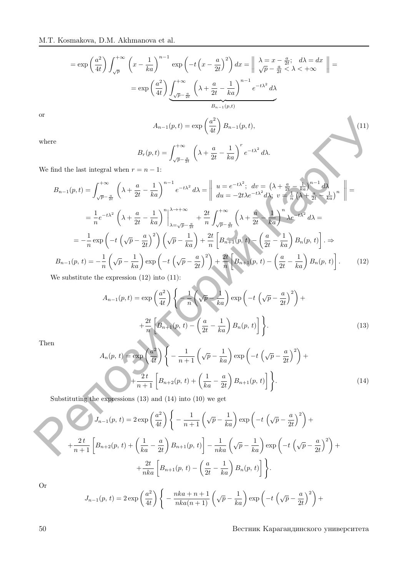$$
= \exp\left(\frac{a^2}{4t}\right) \int_{\sqrt{p}}^{+\infty} \left(x - \frac{1}{ka}\right)^{n-1} \exp\left(-t\left(x - \frac{a}{2t}\right)^2\right) dx = \left\|\begin{array}{cc} \lambda = x - \frac{a}{2t}; & d\lambda = dx \\ \sqrt{p} - \frac{a}{2t} < \lambda < +\infty \end{array}\right\| =
$$
\n
$$
= \exp\left(\frac{a^2}{4t}\right) \underbrace{\int_{\sqrt{p} - \frac{a}{2t}}^{+\infty} \left(\lambda + \frac{a}{2t} - \frac{1}{ka}\right)^{n-1} e^{-t\lambda^2} d\lambda}_{B_{n-1}(p,t)}
$$
\n
$$
A_{n-1}(p,t) = \exp\left(\frac{a^2}{2t}\right) B_{n-1}(p,t) \tag{11}
$$

or

$$
A_{n-1}(p,t) = \exp\left(\frac{a^2}{4t}\right)B_{n-1}(p,t),\tag{11}
$$

where

$$
B_r(p,t) = \int_{\sqrt{p} - \frac{a}{2t}}^{+\infty} \left( \lambda + \frac{a}{2t} - \frac{1}{ka} \right)^r e^{-t\lambda^2} d\lambda.
$$

We find the last integral when  $r = n - 1$ :

or  
\n
$$
A_{n-1}(p,t) = \exp\left(\frac{a^2}{4t}\right)B_{n-1}(p,t),
$$
\nwhere  
\n
$$
B_r(p,t) = \int_{\sqrt{p} - \frac{a}{2t}}^{+\infty} \left(\lambda + \frac{a}{2t} - \frac{1}{ka}\right)^r e^{-t\lambda^2} d\lambda.
$$
\nWe find the last integral when  $r = n - 1$ :  
\n
$$
B_{n-1}(p,t) = \int_{\sqrt{p} - \frac{b}{2t}}^{+\infty} \left(\lambda + \frac{a}{2t} - \frac{1}{ka}\right)^{n-1} e^{-t\lambda^2} d\lambda = \left\| \begin{array}{c} u = e^{-t\lambda^2}; \ dv = \lambda^2; \frac{1}{4\lambda^2} - \frac{1}{ka}\lambda^{n-1}d\lambda\\ du = -2t\lambda e^{-t\lambda^2}d\lambda; \ v = \frac{1}{n}(\lambda + \frac{a}{2t} - \frac{1}{ka})^n \end{array} \right\| =
$$
\n
$$
= \frac{1}{n} e^{-t\lambda^2} \left(\lambda + \frac{a}{2t} - \frac{1}{ka}\right)^n \left|\lambda - \sqrt{p} - \frac{a}{2t}\right| + \frac{2t}{n} \int_{\sqrt{p} - \frac{a}{2t}}^{+\infty} \left(\lambda + \frac{a}{2t} - \frac{1}{ka}\right)^n \lambda e^{-t\lambda^2} d\lambda =
$$
\n
$$
= -\frac{1}{n} \exp\left(-t \left(\sqrt{p} - \frac{a}{2t}\right)^2\right) \left(\sqrt{p} - \frac{1}{ka}\right) + \frac{2t}{n} \left[B_{n+1}(p,t) - \left(\frac{a}{2t} - \frac{1}{ka}\right)B_n(p,t)\right].
$$
\n
$$
B_{n-1}(p,t) = -\frac{1}{n} \left(\sqrt{p} - \frac{1}{ka}\right) \exp\left(-t \left(\sqrt{p} - \frac{a}{2t}\right)^2\right) + \frac{2t}{n} \left[B_{n+1}(p,t) - \left(\frac{a}{2t} - \frac{1}{ka}\right)B_n(p,t)\right].
$$
\nWe substitute the expression (12) into (11):  
\n
$$
A_{n-1}(p,t) = \exp\left(\frac{a^2}{4
$$

We substitute the expression (12) into (11):

$$
A_{n-1}(p,t) = \exp\left(\frac{a^2}{4t}\right) \left\{-\frac{1}{n}\left(\sqrt{p} - \frac{1}{ka}\right) \exp\left(-t\left(\sqrt{p} - \frac{a}{2t}\right)^2\right) + \frac{2t}{n}\left[B_{n+1}(p,t) - \left(\frac{a}{2t} - \frac{1}{ka}\right)B_n(p,t)\right]\right\}.
$$
\n(13)

Then

$$
A_n(p, t) = \exp\left(\frac{a^2}{4t}\right) \left\{ -\frac{1}{n+1} \left(\sqrt{p} - \frac{1}{ka}\right) \exp\left(-t \left(\sqrt{p} - \frac{a}{2t}\right)^2\right) + \frac{2t}{n+1} \left[B_{n+2}(p, t) + \left(\frac{1}{ka} - \frac{a}{2t}\right) B_{n+1}(p, t)\right] \right\}.
$$
\n(14)

Substituting the expressions (13) and (14) into (10) we get

$$
J_{n-1}(p, t) = 2 \exp\left(\frac{a^2}{4t}\right) \left\{-\frac{1}{n+1} \left(\sqrt{p} - \frac{1}{ka}\right) \exp\left(-t \left(\sqrt{p} - \frac{a}{2t}\right)^2\right) + \frac{2t}{n+1} \left[B_{n+2}(p, t) + \left(\frac{1}{ka} - \frac{a}{2t}\right)B_{n+1}(p, t)\right] - \frac{1}{nka} \left(\sqrt{p} - \frac{1}{ka}\right) \exp\left(-t \left(\sqrt{p} - \frac{a}{2t}\right)^2\right) + \frac{2t}{nka} \left[B_{n+1}(p, t) - \left(\frac{a}{2t} - \frac{1}{ka}\right)B_n(p, t)\right]\right\}.
$$

Or

$$
J_{n-1}(p, t) = 2 \exp\left(\frac{a^2}{4t}\right) \left\{-\frac{nka + n + 1}{nka(n+1)} \left(\sqrt{p} - \frac{1}{ka}\right) \exp\left(-t\left(\sqrt{p} - \frac{a}{2t}\right)^2\right) + \right\}
$$

50 Вестник Карагандинского университета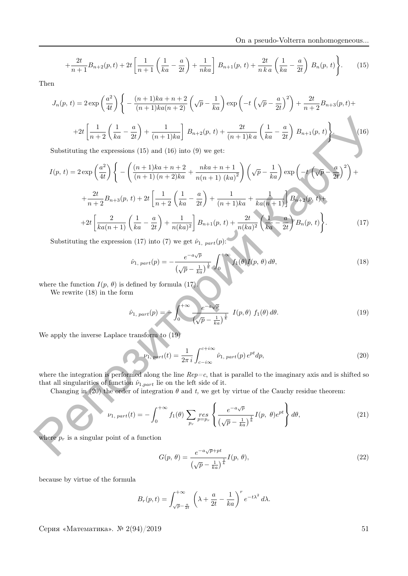$$
+\frac{2t}{n+1}B_{n+2}(p,t)+2t\left[\frac{1}{n+1}\left(\frac{1}{ka}-\frac{a}{2t}\right)+\frac{1}{nka}\right]B_{n+1}(p,t)+\frac{2t}{nka}\left(\frac{1}{ka}-\frac{a}{2t}\right)B_{n}(p,t)\right\}.
$$
 (15)

Then

$$
J_n(p, t) = 2 \exp\left(\frac{a^2}{4t}\right) \left\{ -\frac{(n+1)ka + n+2}{(n+1)ka(n+2)} \left(\sqrt{p} - \frac{1}{ka}\right) \exp\left(-t\left(\sqrt{p} - \frac{a}{2t}\right)^2\right) + \frac{2t}{n+2} B_{n+3}(p, t) + \right. \\ \left. + 2t \left[ \frac{1}{n+2} \left(\frac{1}{ka} - \frac{a}{2t}\right) + \frac{1}{(n+1)ka} \right] B_{n+2}(p, t) + \frac{2t}{(n+1)ka} \left(\frac{1}{ka} - \frac{a}{2t}\right) B_{n+1}(p, t) \right\} .
$$
 (16)

Substituting the expressions (15) and (16) into (9) we get:

+2t 
$$
\left[\frac{1}{n+2}\left(\frac{1}{ka}-\frac{a}{2t}\right)+\frac{1}{(n+1)ka}\right]B_{n+2}(p, t)+\frac{2t}{(n+1)ka}\left(\frac{1}{ka}-\frac{a}{2t}\right)B_{n+1}(p, t)\right]
$$
  
\nSubstituting the expressions (15) and (16) into (9) we get:  
\n
$$
I(p, t) = 2 \exp\left(\frac{a^2}{4t}\right)\left\{-\left(\frac{(n+1)ka+n+2}{(n+1)(n+2)ka}+\frac{nka+n+1}{n(n+1)(ka)^2}\right)\left(\sqrt{p}-\frac{1}{ka}\right)\exp\left(-\frac{t}{\sqrt{p}-\frac{a}{2t}}\right)^2\right\} + \frac{2t}{n^2+2B_{n+3}(p, t)+2t}\left[\frac{1}{n+2}\left(\frac{1}{ka}-\frac{a}{2t}\right)+\frac{1}{n(ka)^2}\right]B_{n+1}(p, t)+\frac{2t}{n(ka)^2}\left(\frac{1}{ka}-\frac{a}{2t}\right)B_n(p, t)\right\}.
$$
  
\nSubstituting the expression (17) into (7) we get  $\hat{\nu}_1$ ,  $_{n\pi r}(p)$ :  
\n $\hat{\nu}_1$ ,  $_{n\pi r}(p) = -\frac{e^{-a\sqrt{p}}}{(\sqrt{p}-\frac{1}{ka})^{\frac{1}{k}}}\int_0^{+\infty} I_1(\theta)I(p, \theta) d\theta,$   
\nwhere the function  $I(p, \theta)$  is defined by formula (17).  
\nWe apply the inverse Laplace transform to (19)  
\nWe apply the inverse Laplace transform to (19)  
\nWe apply the inverse Laplace transform to (19)  
\n $\nu_1$ ,  $_{n\pi r}(p) = -\int_0^{+\infty} \frac{e^{-a\sqrt{p}}}{(\sqrt{p}-\frac{1}{ka})^{\frac{1}{k}}}\int_{r_1+\pi r_1(p)}^{r_1+\pi r_2(p)} I(p, \theta) f_1(\theta) d\theta.$   
\nwhere the integration is performed along the line  $Rep = c$ , that is parallel to the imaginary axis and is shifted so that all singularities of function  $\hat{\nu}_1$ ,  $\hat{\mu}_2$  are the integral to the complex region.  
\n $\nu_1$ ,  $_{n\pi r$ 

Substituting the expression (17) into (7) we get  $\hat{\nu}_{1, part}(p)$ :

$$
\hat{\nu}_{1, part}(p) = -\frac{e^{-a\sqrt{p}}}{\left(\sqrt{p} - \frac{1}{ka}\right)^{\frac{1}{k}}} \int_0^{+\infty} f_1(\theta) I(p, \theta) d\theta,
$$
\n(18)

where the function  $I(p, \theta)$  is defined by formula (17).

We rewrite (18) in the form

$$
\hat{\nu}_{1, part}(p) = -\int_0^{+\infty} \frac{e^{-a\sqrt{p}}}{\left(\sqrt{p} - \frac{1}{ka}\right)^{\frac{1}{k}}} I(p, \theta) f_1(\theta) d\theta.
$$
\n(19)

We apply the inverse Laplace transform to (19)

$$
\nu_{1, part}(t) = \frac{1}{2\pi i} \int_{c-i\infty}^{c+i\infty} \hat{\nu}_{1, part}(p) e^{pt} dp,
$$
\n(20)

where the integration is performed along the line  $Rep=c$ , that is parallel to the imaginary axis and is shifted so that all singularities of function  $\hat{\nu}_{1,part}$  lie on the left side of it.

Changing in (20) the order of integration  $\theta$  and t, we get by virtue of the Cauchy residue theorem:

$$
\nu_{1, part}(t) = -\int_0^{+\infty} f_1(\theta) \sum_{p_r} \underset{p = p_r}{res} \left\{ \frac{e^{-a\sqrt{p}}}{\left(\sqrt{p} - \frac{1}{ka}\right)^{\frac{1}{k}}} I(p, \theta) e^{pt} \right\} d\theta, \tag{21}
$$

where  $p_r$  is a singular point of a function

$$
G(p,\theta) = \frac{e^{-a\sqrt{p}+pt}}{\left(\sqrt{p}-\frac{1}{ka}\right)^{\frac{1}{k}}}I(p,\theta),\tag{22}
$$

because by virtue of the formula

$$
B_r(p,t) = \int_{\sqrt{p} - \frac{a}{2t}}^{+\infty} \left( \lambda + \frac{a}{2t} - \frac{1}{ka} \right)^r e^{-t\lambda^2} d\lambda.
$$

Серия «Математика». <sup>№</sup> 2(94)/2019 51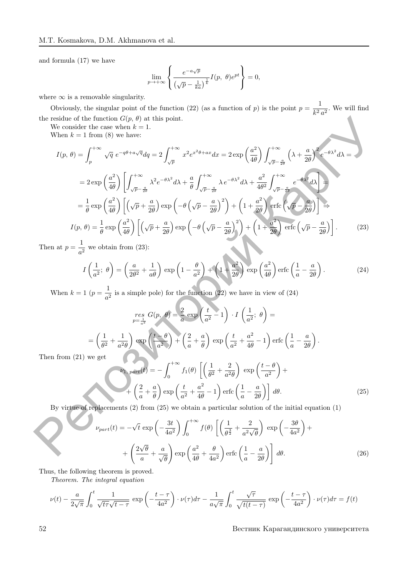and formula (17) we have

$$
\lim_{p \to +\infty} \left\{ \frac{e^{-a\sqrt{p}}}{\left(\sqrt{p} - \frac{1}{ka}\right)^{\frac{1}{k}}} I(p, \theta) e^{pt} \right\} = 0,
$$

where  $\infty$  is a removable singularity.

Obviously, the singular point of the function (22) (as a function of p) is the point  $p = \frac{1}{12}$  $\frac{1}{k^2 a^2}$ . We will find the residue of the function  $G(p, \theta)$  at this point.

We consider the case when  $k = 1$ .

When  $k = 1$  from (8) we have:

the residue of the function 
$$
G(p, \theta)
$$
 at this point.  
\nWe consider the case when  $k = 1$ .  
\nWhen  $k = 1$  from (8) we have:  
\n
$$
I(p, \theta) = \int_{p}^{+\infty} \sqrt{q} e^{-q\theta + a\sqrt{q}} dq = 2 \int_{\sqrt{p}}^{+\infty} x^2 e^{x^2\theta + ax} dx = 2 \exp\left(\frac{a^2}{4\theta}\right) \int_{\sqrt{p} - \frac{a}{2\theta}}^{+\infty} \left(\lambda + \frac{a}{2\theta}\right)^2 e^{-\theta \lambda^2} d\lambda =
$$
\n
$$
= 2 \exp\left(\frac{a^2}{4\theta}\right) \left[ \int_{\sqrt{p} - \frac{a}{2\theta}}^{+\infty} \lambda^2 e^{-\theta \lambda^2} d\lambda + \frac{a}{\theta} \int_{\sqrt{p} - \frac{a}{2\theta}}^{+\infty} \lambda e^{-\theta \lambda^2} d\lambda + \frac{a^2}{4\theta^2} \int_{\sqrt{p} - \frac{a}{2\theta}}^{+\infty} e^{-\theta \lambda^2} d\lambda \right] =
$$
\n
$$
= \frac{1}{\theta} \exp\left(\frac{a^2}{4\theta}\right) \left[ (\sqrt{p} + \frac{a}{2\theta}) \exp\left(-\theta \left(\sqrt{p} - \frac{a}{2\theta}\right)^2\right) + \left(1 + \frac{a^2}{2\theta}\right) \text{erfc}\left(\sqrt{p} - \frac{a}{2\theta}\right) \right].
$$
\n
$$
I(p, \theta) = \frac{1}{\theta} \exp\left(\frac{a^2}{4\theta}\right) \left[ (\sqrt{p} + \frac{a}{2\theta}) \exp\left(-\theta \left(\sqrt{p} - \frac{a}{2\theta}\right)^2\right) + \left(1 + \frac{a^2}{2\theta}\right) \text{erfc}\left(\sqrt{p} - \frac{a}{2\theta}\right) \right].
$$
\n
$$
I\left(\frac{1}{a^2}; \theta\right) = \left(\frac{a}{2\theta^2} + \frac{1}{ab}\right) \exp\left(1 - \frac{\theta}{a^2}\right) + \left(1 + \frac{a^2}{2\theta}\right) \exp\left(\frac{a^2}{4\theta}\right) \text{erfc}\left(\frac{1}{a} - \frac{a
$$

Then at  $p=\frac{1}{q}$  $\frac{1}{a^2}$  we obtain from (23):

$$
I\left(\frac{1}{a^2};\ \theta\right) = \left(\frac{a}{2\theta^2} + \frac{1}{a\theta}\right) \exp\left(1 - \frac{\theta}{a^2}\right) + \left(1 + \frac{a^2}{2\theta}\right) \exp\left(\frac{a^2}{4\theta}\right) \operatorname{erfc}\left(\frac{1}{a} - \frac{a}{2\theta}\right). \tag{24}
$$

When  $k=1$   $(p=\frac{1}{4})$  $\frac{1}{a^2}$  is a simple pole) for the function (22) we have in view of (24)

$$
\mathop{res}_{p=\frac{1}{a^2}} G(p, \theta) = \frac{2}{a} \exp\left(\frac{t}{a^2} - 1\right) \cdot I\left(\frac{1}{a^2}; \theta\right) =
$$

$$
= \left(\frac{1}{\theta^2} + \frac{1}{a^2\theta}\right) \exp\left(\frac{t - \theta}{a^2}\right) + \left(\frac{2}{a} + \frac{a}{\theta}\right) \exp\left(\frac{t}{a^2} + \frac{a^2}{4\theta} - 1\right) \operatorname{erfc}\left(\frac{1}{a} - \frac{a}{2\theta}\right).
$$
we get

Then from  $(21)$ 

$$
p_{1,\,part}(t) = -\int_0^{+\infty} f_1(\theta) \left[ \left( \frac{1}{\theta^2} + \frac{2}{a^2 \theta} \right) \exp\left( \frac{t - \theta}{a^2} \right) + \left( \frac{2}{a} + \frac{a}{\theta} \right) \exp\left( \frac{t}{a^2} + \frac{a^2}{4\theta} - 1 \right) \text{erfc} \left( \frac{1}{a} - \frac{a}{2\theta} \right) \right] d\theta.
$$
 (25)

By virtue of replacements (2) from (25) we obtain a particular solution of the initial equation (1)

$$
\nu_{part}(t) = -\sqrt{t} \exp\left(-\frac{3t}{4a^2}\right) \int_0^{+\infty} f(\theta) \left[ \left(\frac{1}{\theta^{\frac{3}{2}}} + \frac{2}{a^2\sqrt{\theta}}\right) \exp\left(-\frac{3\theta}{4a^2}\right) + \left(\frac{2\sqrt{\theta}}{a} + \frac{a}{\sqrt{\theta}}\right) \exp\left(\frac{a^2}{4\theta} + \frac{\theta}{4a^2}\right) \text{erfc}\left(\frac{1}{a} - \frac{a}{2\theta}\right) \right] d\theta.
$$
 (26)

Thus, the following theorem is proved.

Theorem. The integral equation

$$
\nu(t) - \frac{a}{2\sqrt{\pi}} \int_0^t \frac{1}{\sqrt{t\tau}\sqrt{t-\tau}} \exp\left(-\frac{t-\tau}{4a^2}\right) \cdot \nu(\tau) d\tau - \frac{1}{a\sqrt{\pi}} \int_0^t \frac{\sqrt{\tau}}{\sqrt{t(t-\tau)}} \exp\left(-\frac{t-\tau}{4a^2}\right) \cdot \nu(\tau) d\tau = f(t)
$$

52 Вестник Карагандинского университета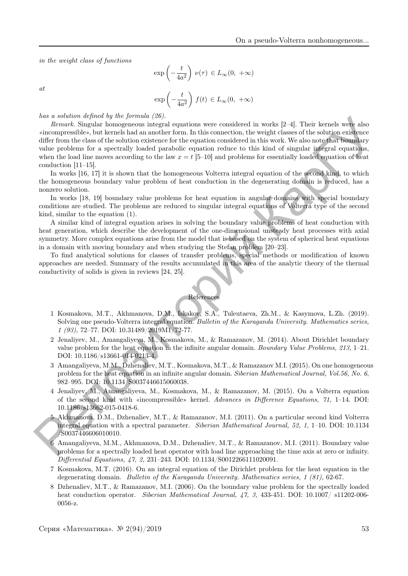in the weight class of functions

$$
\exp\left(-\frac{t}{4a^2}\right)\,\nu(\tau)\,\in L_\infty(0,\;+\infty)
$$

 $at$ 

$$
\exp\left(-\frac{t}{4a^2}\right) f(t) \in L_\infty(0, +\infty)
$$

has a solution defined by the formula  $(26)$ .

Remark. Singular homogeneous integral equations were considered in works [2–4]. Their kernels were also «incompressible», but kernels had an another form. In this connection, the weight classes of the solution existence differ from the class of the solution existence for the equation considered in this work. We also note that boundary value problems for a spectrally loaded parabolic equation reduce to this kind of singular integral equations, when the load line moves according to the law  $x = t$  [5–10] and problems for essentially loaded equation of heat conduction [11–15]. tos a scatter de proposa; (89).<br>
a scatter de proposa; este considered in works [2-4]. Their kerms were also a<br>formula considered by the procedure of the scattering considered in the considered in the scattering consider

In works [16, 17] it is shown that the homogeneous Volterra integral equation of the second kind, to which the homogeneous boundary value problem of heat conduction in the degenerating domain is reduced, has a nonzero solution.

In works [18, 19] boundary value problems for heat equation in angular domains with special boundary conditions are studied. The problems are reduced to singular integral equations of Volterra type of the second kind, similar to the equation (1).

A similar kind of integral equation arises in solving the boundary value problems of heat conduction with heat generation, which describe the development of the one-dimensional unsteady heat processes with axial symmetry. More complex equations arise from the model that is based on the system of spherical heat equations in a domain with moving boundary and when studying the Stefan problem [20–23].

To find analytical solutions for classes of transfer problems, special methods or modification of known approaches are needed. Summary of the results accumulated in this area of the analytic theory of the thermal conductivity of solids is given in reviews [24, 25].

References

- 1 Kosmakova, M.T., Akhmanova, D.M., Iskakov, S.A., Tuleutaeva, Zh.M., & Kasymova, L.Zh. (2019). Solving one pseudo-Volterra integral equation. Bulletin of the Karaganda University. Mathematics series, 1 (93), 72–77. DOI: 10.31489/2019M1/72-77.
- 2 Jenaliyev, M., Amangaliyeva, M., Kosmakova, M., & Ramazanov, M. (2014). About Dirichlet boundary value problem for the heat equation in the infinite angular domain. Boundary Value Problems, 213, 1–21. DOI: 10.1186/s13661-014-0213-4.
- 3 Amangaliyeva, M.M., Dzhenaliev, M.T., Kosmakova, M.T., & Ramazanov M.I. (2015). On one homogeneous problem for the heat equation in an infinite angular domain. Siberian Mathematical Journal, Vol.56, No. 6, 982–995. DOI: 10.1134/S0037446615060038.
- 4 Jenaliyev, M., Amangaliyeva, M., Kosmakova, M., & Ramazanov, M. (2015). On a Volterra equation of the second kind with «incompressible» kernel. Advances in Difference Equations, 71, 1–14. DOI: 10.1186/s13662-015-0418-6.
- 5 Akhmanova, D.M., Dzhenaliev, M.T., & Ramazanov, M.I. (2011). On a particular second kind Volterra integral equation with a spectral parameter. Siberian Mathematical Journal, 52, 1, 1–10. DOI: 10.1134 /S0037446606010010.
- 6 Amangaliyeva, M.M., Akhmanova, D.M., Dzhenaliev, M.T., & Ramazanov, M.I. (2011). Boundary value problems for a spectrally loaded heat operator with load line approaching the time axis at zero or infinity. Differential Equations, 47, 2, 231–243. DOI: 10.1134/S0012266111020091.
- 7 Kosmakova, M.T. (2016). On an integral equation of the Dirichlet problem for the heat equation in the degenerating domain. Bulletin of the Karaganda University. Mathematics series, 1 (81), 62-67.
- 8 Dzhenaliev, M.T., & Ramazanov, M.I. (2006). On the boundary value problem for the spectrally loaded heat conduction operator. Siberian Mathematical Journal, 47, 3, 433-451. DOI: 10.1007/ s11202-006-0056-z.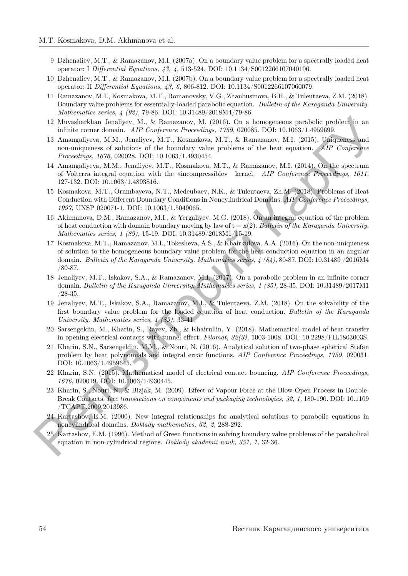- 9 Dzhenaliev, M.T., & Ramazanov, M.I. (2007a). On a boundary value problem for a spectrally loaded heat operator: I Differential Equations, 43, 4, 513-524. DOI: 10.1134/S0012266107040106.
- 10 Dzhenaliev, M.T., & Ramazanov, M.I. (2007b). On a boundary value problem for a spectrally loaded heat operator: II Differential Equations, 43, 6, 806-812. DOI: 10.1134/S0012266107060079.
- 11 Ramazanov, M.I., Kosmakova, M.T., Romanovsky, V.G., Zhanbusinova, B.H., & Tuleutaeva, Z.M. (2018). Boundary value problems for essentially-loaded parabolic equation. Bulletin of the Karaganda University. Mathematics series, 4 (92), 79-86. DOI: 10.31489/2018M4/79-86.
- 12 Muvasharkhan Jenaliyev, M., & Ramazanov, M. (2016). On a homogeneous parabolic problem in an infinite corner domain. AIP Conference Proceedings, 1759, 020085. DOI: 10.1063/1.4959699.
- 13 Amangaliyeva, M.M., Jenaliyev, M.T., Kosmakova, M.T., & Ramazanov, M.I. (2015). Uniqueness and non-uniqueness of solutions of the boundary value problems of the heat equation. AIP Conference Proceedings, 1676, 020028. DOI: 10.1063/1.4930454.
- 14 Amangaliyeva, M.M., Jenaliyev, M.T., Kosmakova, M.T., & Ramazanov, M.I. (2014). On the spectrum of Volterra integral equation with the «incompressible» kernel. AIP Conference Proceedings, 1611, 127-132. DOI: 10.1063/1.4893816.
- 15 Kosmakova, M.T., Orumbayeva, N.T., Medeubaev, N.K., & Tuleutaeva, Zh.M. (2018). Problems of Heat Conduction with Different Boundary Conditions in Noncylindrical Domains. AIP Conference Proceedings, 1997, UNSP 020071-1. DOI: 10.1063/1.5049065.
- 16 Akhmanova, D.M., Ramazanov, M.I., & Yergaliyev. M.G. (2018). On an integral equation of the problem of heat conduction with domain boundary moving by law of  $t = x(2)$ . Bulletin of the Karaganda University. Mathematics series, 1 (89), 15-19. DOI: 10.31489/2018M1/15-19.
- 17 Kosmakova, M.T., Ramazanov, M.I., Tokesheva, A.S., & Khairkulova, A.A. (2016). On the non-uniqueness of solution to the homogeneous boundary value problem for the heat conduction equation in an angular domain. Bulletin of the Karaganda University. Mathematics series, 4 (84), 80-87. DOI: 10.31489 /2016M4 /80-87. 12 Municipalizm Jemikarkov, M., & Ramazamov, M., 2008). On a homogeneous paraloleis problem in an infinite corner domain. Aff Conference Precentation, 17, & Ramazamov, M.I. (2015). Uniformizes and an infinite correlation
	- 18 Jenaliyev, M.T., Iskakov, S.A., & Ramazanov, M.I. (2017). On a parabolic problem in an infinite corner domain. Bulletin of the Karaganda University. Mathematics series, 1 (85), 28-35. DOI: 10.31489/2017M1 /28-35.
	- 19 Jenaliyev, M.T., Iskakov, S.A., Ramazanov, M.I., & Tuleutaeva, Z.M. (2018). On the solvability of the first boundary value problem for the loaded equation of heat conduction. Bulletin of the Karaganda University. Mathematics series, 1 (89), 33-41.
	- 20 Sarsengeldin, M., Kharin, S., Rayev, Zh., & Khairullin, Y. (2018). Mathematical model of heat transfer in opening electrical contacts with tunnel effect. Filomat, 32(3), 1003-1008. DOI: 10.2298/FIL1803003S.
	- 21 Kharin, S.N., Sarsengeldin, M.M., & Nouri, N. (2016). Analytical solution of two-phase spherical Stefan problem by heat polynomials and integral error functions. AIP Conference Proceedings, 1759, 020031. DOI: 10.1063/1.4959645.
	- 22 Kharin, S.N. (2015). Mathematical model of electrical contact bouncing. AIP Conference Proceedings, 1676, 020019. DOI: 10.1063/14930445.
	- 23 Kharin, S., Nouri, N., & Bizjak, M. (2009). Effect of Vapour Force at the Blow-Open Process in Double-Break Contacts. Ieee transactions on components and packaging technologies, 32, 1, 180-190. DOI: 10.1109 /TCAPT.2009.2013986.
	- 24 Kartashov, E.M. (2000). New integral relationships for analytical solutions to parabolic equations in noncylindrical domains. Doklady mathematics, 62, 2, 288-292.
	- 25 Kartashov, E.M. (1996). Method of Green functions in solving boundary value problems of the parabolical equation in non-cylindrical regions. Doklady akademii nauk, 351, 1, 32-36.